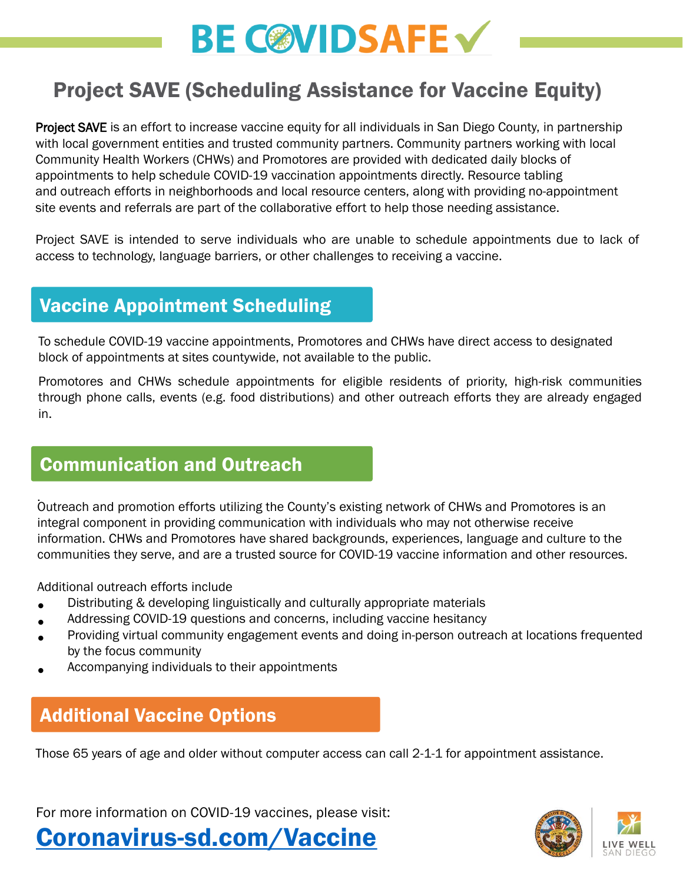# **BE COVIDSAFE V**

### Project SAVE (Scheduling Assistance for Vaccine Equity)

Project SAVE is an effort to increase vaccine equity for all individuals in San Diego County, in partnership with local government entities and trusted community partners. Community partners working with local Community Health Workers (CHWs) and Promotores are provided with dedicated daily blocks of appointments to help schedule COVID-19 vaccination appointments directly. Resource tabling and outreach efforts in neighborhoods and local resource centers, along with providing no-appointment site events and referrals are part of the collaborative effort to help those needing assistance.

Project SAVE is intended to serve individuals who are unable to schedule appointments due to lack of access to technology, language barriers, or other challenges to receiving a vaccine.

#### Vaccine Appointment Scheduling

To schedule COVID-19 vaccine appointments, Promotores and CHWs have direct access to designated block of appointments at sites countywide, not available to the public.

Promotores and CHWs schedule appointments for eligible residents of priority, high-risk communities through phone calls, events (e.g. food distributions) and other outreach efforts they are already engaged in.

#### Communication and Outreach

. Outreach and promotion efforts utilizing the County's existing network of CHWs and Promotores is an integral component in providing communication with individuals who may not otherwise receive information. CHWs and Promotores have shared backgrounds, experiences, language and culture to the communities they serve, and are a trusted source for COVID-19 vaccine information and other resources.

Additional outreach efforts include

- Distributing & developing linguistically and culturally appropriate materials
- Addressing COVID-19 questions and concerns, including vaccine hesitancy
- Providing virtual community engagement events and doing in-person outreach at locations frequented by the focus community
- Accompanying individuals to their appointments

### Additional Vaccine Options

Those 65 years of age and older without computer access can call 2-1-1 for appointment assistance.

For more information on COVID-19 vaccines, please visit: